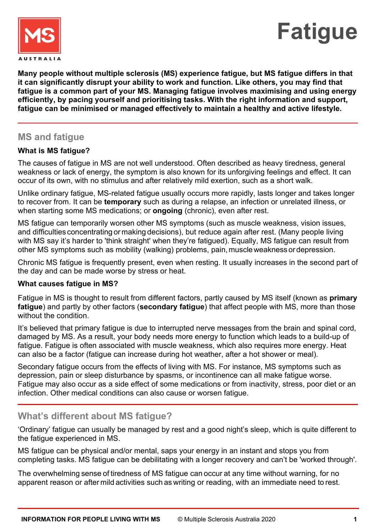



**Many people without multiple sclerosis (MS) experience fatigue, but MS fatigue differs in that it can significantly disrupt your ability to work and function. Like others, you may find that fatigue is a common part of your MS. Managing fatigue involves maximising and using energy efficiently, by pacing yourself and prioritising tasks. With the right information and support, fatigue can be minimised or managed effectively to maintain a healthy and active lifestyle.**

## **MS and fatigue**

### **What is MS fatigue?**

The causes of fatigue in MS are not well understood. Often described as heavy tiredness, general weakness or lack of energy, the symptom is also known for its unforgiving feelings and effect. It can occur of its own, with no stimulus and after relatively mild exertion, such as a short walk.

Unlike ordinary fatigue, MS-related fatigue usually occurs more rapidly, lasts longer and takes longer to recover from. It can be **temporary** such as during a relapse, an infection or unrelated illness, or when starting some MS medications; or **ongoing** (chronic), even after rest.

MS fatigue can temporarily worsen other MS symptoms (such as muscle weakness, vision issues, and difficulties concentrating or making decisions), but reduce again after rest. (Many people living with MS say it's harder to 'think straight' when they're fatigued). Equally, MS fatigue can result from other MS symptoms such as mobility (walking) problems, pain, muscleweakness ordepression.

Chronic MS fatigue is frequently present, even when resting. It usually increases in the second part of the day and can be made worse by stress or heat.

#### **What causes fatigue in MS?**

Fatigue in MS is thought to result from different factors, partly caused by MS itself (known as **primary fatigue**) and partly by other factors (**secondary fatigue**) that affect people with MS, more than those without the condition.

It's believed that primary fatigue is due to interrupted nerve messages from the brain and spinal cord, damaged by MS. As a result, your body needs more energy to function which leads to a build-up of fatigue. Fatigue is often associated with muscle weakness, which also requires more energy. Heat can also be a factor (fatigue can increase during hot weather, after a hot shower or meal).

Secondary fatigue occurs from the effects of living with MS. For instance, MS symptoms such as depression, pain or sleep disturbance by spasms, or incontinence can all make fatigue worse. Fatigue may also occur as a side effect of some medications or from inactivity, stress, poor diet or an infection. Other medical conditions can also cause or worsen fatigue.

## **What's different about MS fatigue?**

'Ordinary' fatigue can usually be managed by rest and a good night's sleep, which is quite different to the fatigue experienced in MS.

MS fatigue can be physical and/or mental, saps your energy in an instant and stops you from completing tasks. MS fatigue can be debilitating with a longer recovery and can't be 'worked through'.

The overwhelming sense of tiredness of MS fatigue can occur at any time without warning, for no apparent reason or after mild activities such as writing or reading, with an immediate need to rest. ľ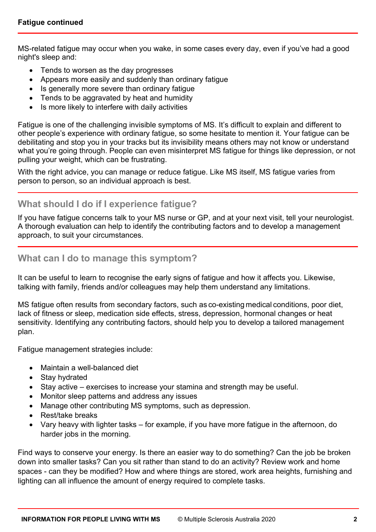MS-related fatigue may occur when you wake, in some cases every day, even if you've had a good night's sleep and:

- Tends to worsen as the day progresses
- Appears more easily and suddenly than ordinary fatigue
- Is generally more severe than ordinary fatigue
- Tends to be aggravated by heat and humidity
- Is more likely to interfere with daily activities

Fatigue is one of the challenging invisible symptoms of MS. It's difficult to explain and different to other people's experience with ordinary fatigue, so some hesitate to mention it. Your fatigue can be debilitating and stop you in your tracks but its invisibility means others may not know or understand what you're going through. People can even misinterpret MS fatigue for things like depression, or not pulling your weight, which can be frustrating.

With the right advice, you can manage or reduce fatigue. Like MS itself, MS fatigue varies from person to person, so an individual approach is best.

# **What should I do if I experience fatigue?**

If you have fatigue concerns talk to your MS nurse or GP, and at your next visit, tell your neurologist. A thorough evaluation can help to identify the contributing factors and to develop a management approach, to suit your circumstances.

## **What can I do to manage this symptom?**

It can be useful to learn to recognise the early signs of fatigue and how it affects you. Likewise, talking with family, friends and/or colleagues may help them understand any limitations.

MS fatigue often results from secondary factors, such as co-existing medical conditions, poor diet, lack of fitness or sleep, medication side effects, stress, depression, hormonal changes or heat sensitivity. Identifying any contributing factors, should help you to develop a tailored management plan.

Fatigue management strategies include:

- Maintain a well-balanced diet
- Stay hydrated
- Stay active exercises to increase your stamina and strength may be useful.
- Monitor sleep patterns and address any issues
- Manage other contributing MS symptoms, such as depression.
- Rest/take breaks
- Vary heavy with lighter tasks for example, if you have more fatigue in the afternoon, do harder jobs in the morning.

Find ways to conserve your energy. Is there an easier way to do something? Can the job be broken down into smaller tasks? Can you sit rather than stand to do an activity? Review work and home spaces - can they be modified? How and where things are stored, work area heights, furnishing and lighting can all influence the amount of energy required to complete tasks.

ľ

ľ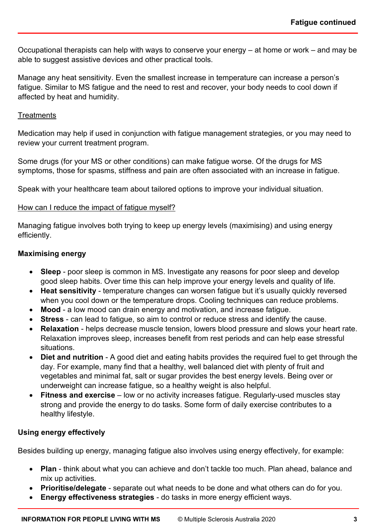i,

Occupational therapists can help with ways to conserve your energy – at home or work – and may be able to suggest assistive devices and other practical tools.

Manage any heat sensitivity. Even the smallest increase in temperature can increase a person's fatigue. Similar to MS fatigue and the need to rest and recover, your body needs to cool down if affected by heat and humidity.

#### **Treatments**

Medication may help if used in conjunction with fatigue management strategies, or you may need to review your current treatment program.

Some drugs (for your MS or other conditions) can make fatigue worse. Of the drugs for MS symptoms, those for spasms, stiffness and pain are often associated with an increase in fatigue.

Speak with your healthcare team about tailored options to improve your individual situation.

#### How can I reduce the impact of fatigue myself?

Managing fatigue involves both trying to keep up energy levels (maximising) and using energy efficiently.

#### **Maximising energy**

- **Sleep** poor sleep is common in MS. Investigate any reasons for poor sleep and develop good sleep habits. Over time this can help improve your energy levels and quality of life.
- **Heat sensitivity** temperature changes can worsen fatigue but it's usually quickly reversed when you cool down or the temperature drops. Cooling techniques can reduce problems.
- **Mood** a low mood can drain energy and motivation, and increase fatigue.
- **Stress** can lead to fatigue, so aim to control or reduce stress and identify the cause.
- **Relaxation** helps decrease muscle tension, lowers blood pressure and slows your heart rate. Relaxation improves sleep, increases benefit from rest periods and can help ease stressful situations.
- **Diet and nutrition** A good diet and eating habits provides the required fuel to get through the day. For example, many find that a healthy, well balanced diet with plenty of fruit and vegetables and minimal fat, salt or sugar provides the best energy levels. Being over or underweight can increase fatigue, so a healthy weight is also helpful.
- **Fitness and exercise** low or no activity increases fatigue. Regularly-used muscles stay strong and provide the energy to do tasks. Some form of daily exercise contributes to a healthy lifestyle.

### **Using energy effectively**

Besides building up energy, managing fatigue also involves using energy effectively, for example:

- **Plan** think about what you can achieve and don't tackle too much. Plan ahead, balance and mix up activities.
- **Prioritise/delegate** separate out what needs to be done and what others can do for you.
- **Energy effectiveness strategies** do tasks in more energy efficient ways.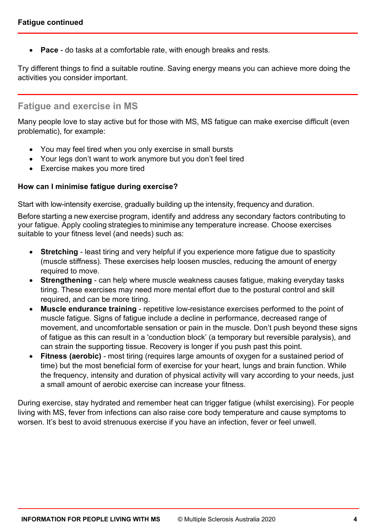• **Pace** - do tasks at a comfortable rate, with enough breaks and rests.

Try different things to find a suitable routine. Saving energy means you can achieve more doing the activities you consider important.

# **Fatigue and exercise in MS**

Many people love to stay active but for those with MS, MS fatigue can make exercise difficult (even problematic), for example:

- You may feel tired when you only exercise in small bursts
- Your legs don't want to work anymore but you don't feel tired
- Exercise makes you more tired

#### **How can I minimise fatigue during exercise?**

Start with low-intensity exercise, gradually building up the intensity, frequency and duration.

Before starting a new exercise program, identify and address any secondary factors contributing to your fatigue. Apply cooling strategies to minimise any temperature increase. Choose exercises suitable to your fitness level (and needs) such as:

- **Stretching** least tiring and very helpful if you experience more fatigue due to spasticity (muscle stiffness). These exercises help loosen muscles, reducing the amount of energy required to move.
- **Strengthening** can help where muscle weakness causes fatigue, making everyday tasks tiring. These exercises may need more mental effort due to the postural control and skill required, and can be more tiring.
- **Muscle endurance training** repetitive low-resistance exercises performed to the point of muscle fatigue. Signs of fatigue include a decline in performance, decreased range of movement, and uncomfortable sensation or pain in the muscle. Don't push beyond these signs of fatigue as this can result in a 'conduction block' (a temporary but reversible paralysis), and can strain the supporting tissue. Recovery is longer if you push past this point.
- **Fitness (aerobic)** most tiring (requires large amounts of oxygen for a sustained period of time) but the most beneficial form of exercise for your heart, lungs and brain function. While the frequency, intensity and duration of physical activity will vary according to your needs, just a small amount of aerobic exercise can increase your fitness.

During exercise, stay hydrated and remember heat can trigger fatigue (whilst exercising). For people living with MS, fever from infections can also raise core body temperature and cause symptoms to worsen. It's best to avoid strenuous exercise if you have an infection, fever or feel unwell.

ľ